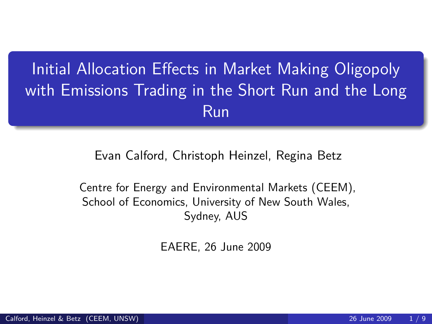# Initial Allocation Effects in Market Making Oligopoly with Emissions Trading in the Short Run and the Long Run

#### Evan Calford, Christoph Heinzel, Regina Betz

Centre for Energy and Environmental Markets (CEEM), School of Economics, University of New South Wales, Sydney, AUS

EAERE, 26 June 2009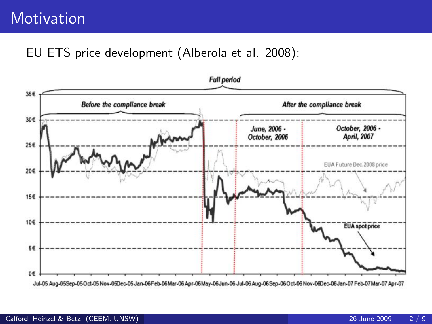### **Motivation**

#### EU ETS price development (Alberola et al. 2008):

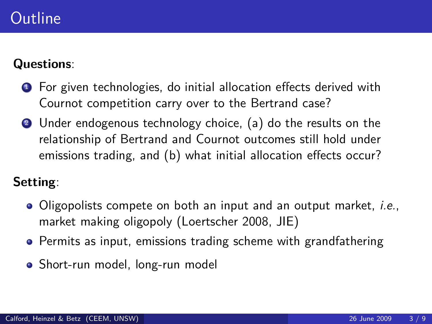### **Outline**

#### **Questions**:

- **1** For given technologies, do initial allocation effects derived with Cournot competition carry over to the Bertrand case?
- <sup>2</sup> Under endogenous technology choice, (a) do the results on the relationship of Bertrand and Cournot outcomes still hold under emissions trading, and (b) what initial allocation effects occur?

#### **Setting**:

- Oligopolists compete on both an input and an output market, *i.e.*, market making oligopoly (Loertscher 2008, JIE)
- Permits as input, emissions trading scheme with grandfathering
- Short-run model, long-run model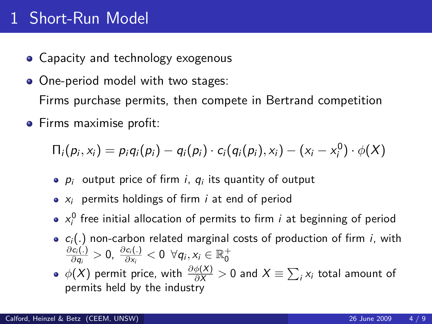## 1 Short-Run Model

- Capacity and technology exogenous
- One-period model with two stages: Firms purchase permits, then compete in Bertrand competition
- **•** Firms maximise profit:

$$
\Pi_i(p_i,x_i)=p_iq_i(p_i)-q_i(p_i)\cdot c_i(q_i(p_i),x_i)-(x_i-x_i^0)\cdot\phi(X)
$$

- $\rho_i$  output price of firm  $i,~q_i$  its quantity of output
- $\bullet$   $x_i$  permits holdings of firm *i* at end of period
- $x_i^0$  free initial allocation of permits to firm *i* at beginning of period
- $\bullet$   $c_i(.)$  non-carbon related marginal costs of production of firm *i*, with *∂*c<sup>i</sup> (*.*)  $\frac{\partial c_i(.)}{\partial q_i} > 0$ ,  $\frac{\partial c_i(.)}{\partial x_i} < 0 \;\; \forall q_i, x_i \in \mathbb{R}_0^+$
- $\phi(X)$  permit price, with  $\frac{\partial \phi(X)}{\partial X}>0$  and  $X\equiv \sum_i x_i$  total amount of permits held by the industry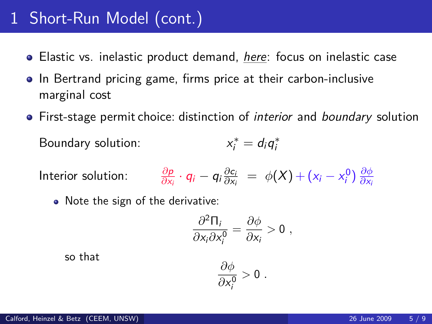### 1 Short-Run Model (cont.)

- Elastic vs. inelastic product demand, here: focus on inelastic case
- In Bertrand pricing game, firms price at their carbon-inclusive marginal cost
- First-stage permit choice: distinction of *interior* and *boundary* solution Boundary solution:  $a_i^* = d_i q_i^*$

$$
\text{Interior solution:} \qquad \frac{\partial p}{\partial x_i} \cdot q_i - q_i \frac{\partial c_i}{\partial x_i} \; = \; \phi(X) + (x_i - x_i^0) \, \frac{\partial \phi}{\partial x_i}
$$

• Note the sign of the derivative:

$$
\frac{\partial^2 \Pi_i}{\partial x_i \partial x_i^0} = \frac{\partial \phi}{\partial x_i} > 0,
$$

so that

$$
\frac{\partial \phi}{\partial x_i^0} > 0 \; .
$$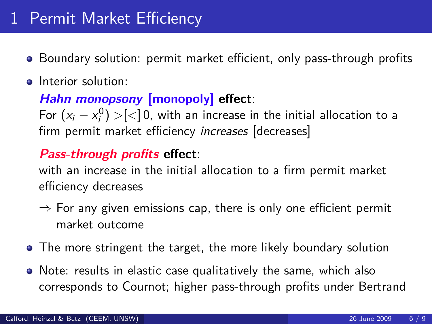- Boundary solution: permit market efficient, only pass-through profits
- Interior solution:

**Hahn monopsony [monopoly] effect**:

For  $(x_i - x_i^0) > [\leq] 0$ , with an increase in the initial allocation to a firm permit market efficiency increases [decreases]

#### **Pass-through profits effect**:

with an increase in the initial allocation to a firm permit market efficiency decreases

- $\Rightarrow$  For any given emissions cap, there is only one efficient permit market outcome
- The more stringent the target, the more likely boundary solution
- Note: results in elastic case qualitatively the same, which also corresponds to Cournot; higher pass-through profits under Bertrand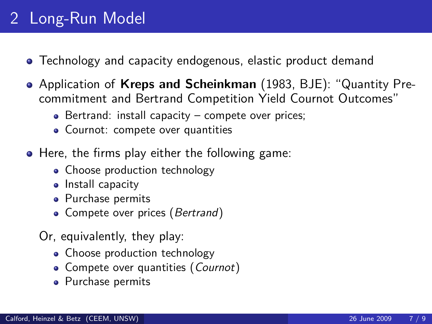## 2 Long-Run Model

- Technology and capacity endogenous, elastic product demand
- Application of **Kreps and Scheinkman** (1983, BJE): "Quantity Precommitment and Bertrand Competition Yield Cournot Outcomes"
	- $\bullet$  Bertrand: install capacity compete over prices;
	- Cournot: compete over quantities
- Here, the firms play either the following game:
	- Choose production technology
	- Install capacity
	- Purchase permits
	- Compete over prices (Bertrand)
	- Or, equivalently, they play:
		- Choose production technology
		- Compete over quantities (Cournot)
		- Purchase permits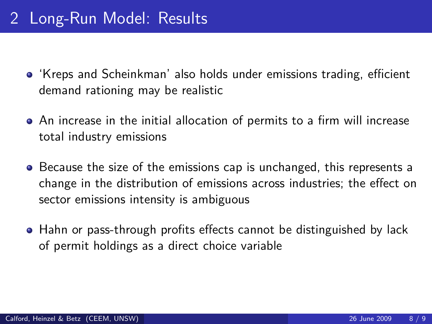- 'Kreps and Scheinkman' also holds under emissions trading, efficient demand rationing may be realistic
- An increase in the initial allocation of permits to a firm will increase total industry emissions
- Because the size of the emissions cap is unchanged, this represents a change in the distribution of emissions across industries; the effect on sector emissions intensity is ambiguous
- Hahn or pass-through profits effects cannot be distinguished by lack of permit holdings as a direct choice variable